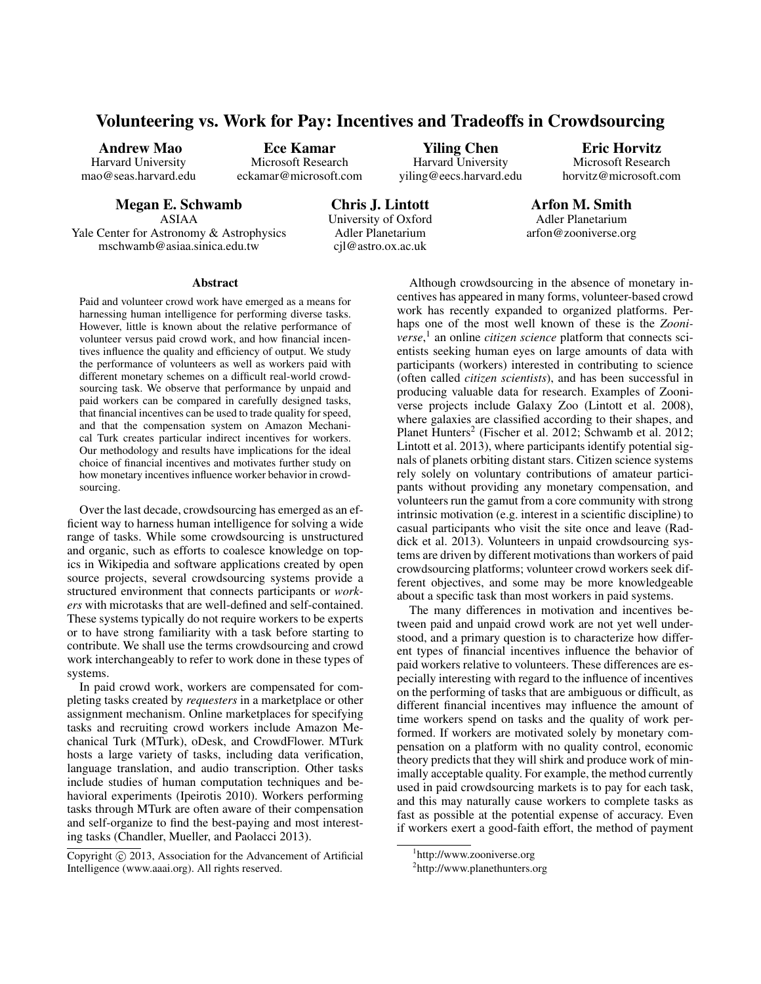# Volunteering vs. Work for Pay: Incentives and Tradeoffs in Crowdsourcing

Andrew Mao

Harvard University mao@seas.harvard.edu

Ece Kamar Microsoft Research

eckamar@microsoft.com

Yiling Chen Harvard University yiling@eecs.harvard.edu

Eric Horvitz Microsoft Research horvitz@microsoft.com

Megan E. Schwamb ASIAA Yale Center for Astronomy & Astrophysics mschwamb@asiaa.sinica.edu.tw

Chris J. Lintott University of Oxford Adler Planetarium cjl@astro.ox.ac.uk

Arfon M. Smith Adler Planetarium arfon@zooniverse.org

#### Abstract

Paid and volunteer crowd work have emerged as a means for harnessing human intelligence for performing diverse tasks. However, little is known about the relative performance of volunteer versus paid crowd work, and how financial incentives influence the quality and efficiency of output. We study the performance of volunteers as well as workers paid with different monetary schemes on a difficult real-world crowdsourcing task. We observe that performance by unpaid and paid workers can be compared in carefully designed tasks, that financial incentives can be used to trade quality for speed, and that the compensation system on Amazon Mechanical Turk creates particular indirect incentives for workers. Our methodology and results have implications for the ideal choice of financial incentives and motivates further study on how monetary incentives influence worker behavior in crowdsourcing.

Over the last decade, crowdsourcing has emerged as an efficient way to harness human intelligence for solving a wide range of tasks. While some crowdsourcing is unstructured and organic, such as efforts to coalesce knowledge on topics in Wikipedia and software applications created by open source projects, several crowdsourcing systems provide a structured environment that connects participants or *workers* with microtasks that are well-defined and self-contained. These systems typically do not require workers to be experts or to have strong familiarity with a task before starting to contribute. We shall use the terms crowdsourcing and crowd work interchangeably to refer to work done in these types of systems.

In paid crowd work, workers are compensated for completing tasks created by *requesters* in a marketplace or other assignment mechanism. Online marketplaces for specifying tasks and recruiting crowd workers include Amazon Mechanical Turk (MTurk), oDesk, and CrowdFlower. MTurk hosts a large variety of tasks, including data verification, language translation, and audio transcription. Other tasks include studies of human computation techniques and behavioral experiments (Ipeirotis 2010). Workers performing tasks through MTurk are often aware of their compensation and self-organize to find the best-paying and most interesting tasks (Chandler, Mueller, and Paolacci 2013).

Although crowdsourcing in the absence of monetary incentives has appeared in many forms, volunteer-based crowd work has recently expanded to organized platforms. Perhaps one of the most well known of these is the *Zooniverse*, 1 an online *citizen science* platform that connects scientists seeking human eyes on large amounts of data with participants (workers) interested in contributing to science (often called *citizen scientists*), and has been successful in producing valuable data for research. Examples of Zooniverse projects include Galaxy Zoo (Lintott et al. 2008), where galaxies are classified according to their shapes, and Planet Hunters<sup>2</sup> (Fischer et al. 2012; Schwamb et al. 2012; Lintott et al. 2013), where participants identify potential signals of planets orbiting distant stars. Citizen science systems rely solely on voluntary contributions of amateur participants without providing any monetary compensation, and volunteers run the gamut from a core community with strong intrinsic motivation (e.g. interest in a scientific discipline) to casual participants who visit the site once and leave (Raddick et al. 2013). Volunteers in unpaid crowdsourcing systems are driven by different motivations than workers of paid crowdsourcing platforms; volunteer crowd workers seek different objectives, and some may be more knowledgeable about a specific task than most workers in paid systems.

The many differences in motivation and incentives between paid and unpaid crowd work are not yet well understood, and a primary question is to characterize how different types of financial incentives influence the behavior of paid workers relative to volunteers. These differences are especially interesting with regard to the influence of incentives on the performing of tasks that are ambiguous or difficult, as different financial incentives may influence the amount of time workers spend on tasks and the quality of work performed. If workers are motivated solely by monetary compensation on a platform with no quality control, economic theory predicts that they will shirk and produce work of minimally acceptable quality. For example, the method currently used in paid crowdsourcing markets is to pay for each task, and this may naturally cause workers to complete tasks as fast as possible at the potential expense of accuracy. Even if workers exert a good-faith effort, the method of payment

Copyright  $\odot$  2013, Association for the Advancement of Artificial Intelligence (www.aaai.org). All rights reserved.

<sup>1</sup> http://www.zooniverse.org

<sup>2</sup> http://www.planethunters.org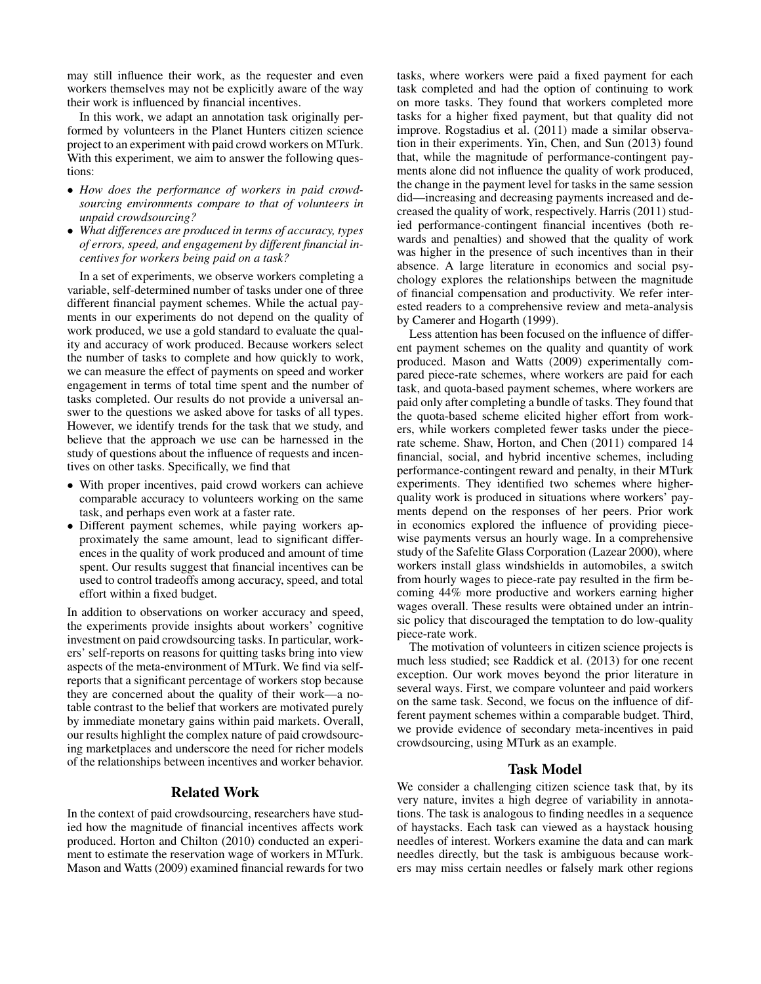may still influence their work, as the requester and even workers themselves may not be explicitly aware of the way their work is influenced by financial incentives.

In this work, we adapt an annotation task originally performed by volunteers in the Planet Hunters citizen science project to an experiment with paid crowd workers on MTurk. With this experiment, we aim to answer the following questions:

- *How does the performance of workers in paid crowdsourcing environments compare to that of volunteers in unpaid crowdsourcing?*
- *What differences are produced in terms of accuracy, types of errors, speed, and engagement by different financial incentives for workers being paid on a task?*

In a set of experiments, we observe workers completing a variable, self-determined number of tasks under one of three different financial payment schemes. While the actual payments in our experiments do not depend on the quality of work produced, we use a gold standard to evaluate the quality and accuracy of work produced. Because workers select the number of tasks to complete and how quickly to work, we can measure the effect of payments on speed and worker engagement in terms of total time spent and the number of tasks completed. Our results do not provide a universal answer to the questions we asked above for tasks of all types. However, we identify trends for the task that we study, and believe that the approach we use can be harnessed in the study of questions about the influence of requests and incentives on other tasks. Specifically, we find that

- With proper incentives, paid crowd workers can achieve comparable accuracy to volunteers working on the same task, and perhaps even work at a faster rate.
- Different payment schemes, while paying workers approximately the same amount, lead to significant differences in the quality of work produced and amount of time spent. Our results suggest that financial incentives can be used to control tradeoffs among accuracy, speed, and total effort within a fixed budget.

In addition to observations on worker accuracy and speed, the experiments provide insights about workers' cognitive investment on paid crowdsourcing tasks. In particular, workers' self-reports on reasons for quitting tasks bring into view aspects of the meta-environment of MTurk. We find via selfreports that a significant percentage of workers stop because they are concerned about the quality of their work—a notable contrast to the belief that workers are motivated purely by immediate monetary gains within paid markets. Overall, our results highlight the complex nature of paid crowdsourcing marketplaces and underscore the need for richer models of the relationships between incentives and worker behavior.

## Related Work

In the context of paid crowdsourcing, researchers have studied how the magnitude of financial incentives affects work produced. Horton and Chilton (2010) conducted an experiment to estimate the reservation wage of workers in MTurk. Mason and Watts (2009) examined financial rewards for two

tasks, where workers were paid a fixed payment for each task completed and had the option of continuing to work on more tasks. They found that workers completed more tasks for a higher fixed payment, but that quality did not improve. Rogstadius et al. (2011) made a similar observation in their experiments. Yin, Chen, and Sun (2013) found that, while the magnitude of performance-contingent payments alone did not influence the quality of work produced, the change in the payment level for tasks in the same session did—increasing and decreasing payments increased and decreased the quality of work, respectively. Harris (2011) studied performance-contingent financial incentives (both rewards and penalties) and showed that the quality of work was higher in the presence of such incentives than in their absence. A large literature in economics and social psychology explores the relationships between the magnitude of financial compensation and productivity. We refer interested readers to a comprehensive review and meta-analysis by Camerer and Hogarth (1999).

Less attention has been focused on the influence of different payment schemes on the quality and quantity of work produced. Mason and Watts (2009) experimentally compared piece-rate schemes, where workers are paid for each task, and quota-based payment schemes, where workers are paid only after completing a bundle of tasks. They found that the quota-based scheme elicited higher effort from workers, while workers completed fewer tasks under the piecerate scheme. Shaw, Horton, and Chen (2011) compared 14 financial, social, and hybrid incentive schemes, including performance-contingent reward and penalty, in their MTurk experiments. They identified two schemes where higherquality work is produced in situations where workers' payments depend on the responses of her peers. Prior work in economics explored the influence of providing piecewise payments versus an hourly wage. In a comprehensive study of the Safelite Glass Corporation (Lazear 2000), where workers install glass windshields in automobiles, a switch from hourly wages to piece-rate pay resulted in the firm becoming 44% more productive and workers earning higher wages overall. These results were obtained under an intrinsic policy that discouraged the temptation to do low-quality piece-rate work.

The motivation of volunteers in citizen science projects is much less studied; see Raddick et al. (2013) for one recent exception. Our work moves beyond the prior literature in several ways. First, we compare volunteer and paid workers on the same task. Second, we focus on the influence of different payment schemes within a comparable budget. Third, we provide evidence of secondary meta-incentives in paid crowdsourcing, using MTurk as an example.

## Task Model

We consider a challenging citizen science task that, by its very nature, invites a high degree of variability in annotations. The task is analogous to finding needles in a sequence of haystacks. Each task can viewed as a haystack housing needles of interest. Workers examine the data and can mark needles directly, but the task is ambiguous because workers may miss certain needles or falsely mark other regions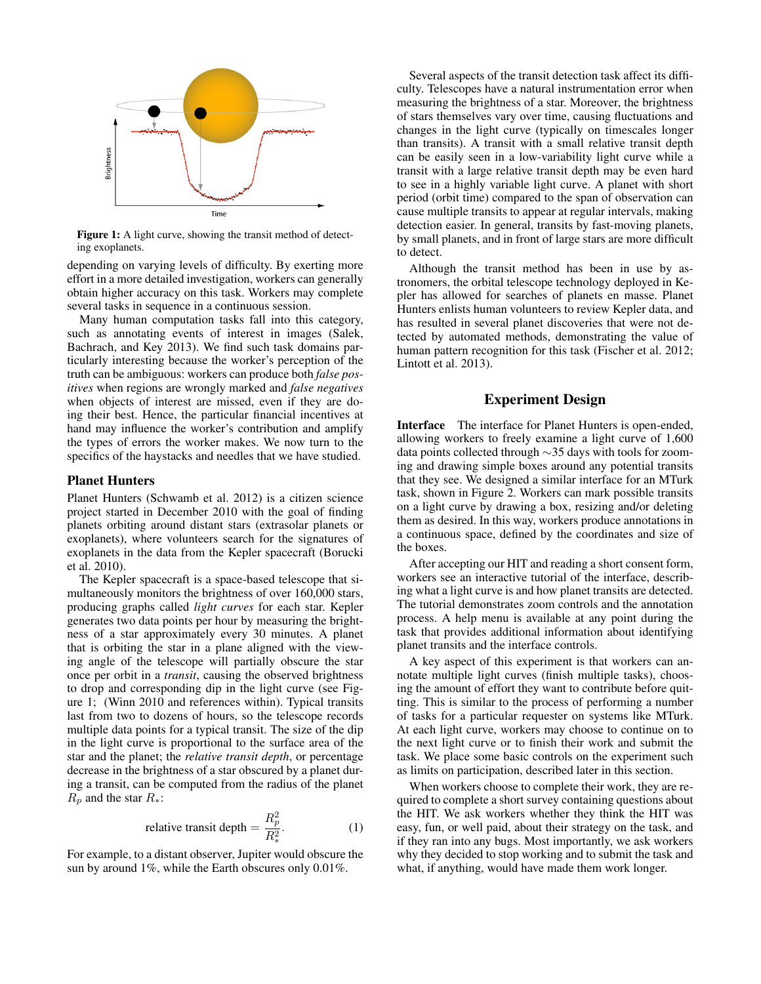

Figure 1: A light curve, showing the transit method of detecting exoplanets.

depending on varying levels of difficulty. By exerting more effort in a more detailed investigation, workers can generally obtain higher accuracy on this task. Workers may complete several tasks in sequence in a continuous session.

Many human computation tasks fall into this category, such as annotating events of interest in images (Salek, Bachrach, and Key 2013). We find such task domains particularly interesting because the worker's perception of the truth can be ambiguous: workers can produce both *false positives* when regions are wrongly marked and *false negatives* when objects of interest are missed, even if they are doing their best. Hence, the particular financial incentives at hand may influence the worker's contribution and amplify the types of errors the worker makes. We now turn to the specifics of the haystacks and needles that we have studied.

#### Planet Hunters

Planet Hunters (Schwamb et al. 2012) is a citizen science project started in December 2010 with the goal of finding planets orbiting around distant stars (extrasolar planets or exoplanets), where volunteers search for the signatures of exoplanets in the data from the Kepler spacecraft (Borucki et al. 2010).

The Kepler spacecraft is a space-based telescope that simultaneously monitors the brightness of over 160,000 stars, producing graphs called *light curves* for each star. Kepler generates two data points per hour by measuring the brightness of a star approximately every 30 minutes. A planet that is orbiting the star in a plane aligned with the viewing angle of the telescope will partially obscure the star once per orbit in a *transit*, causing the observed brightness to drop and corresponding dip in the light curve (see Figure 1; (Winn 2010 and references within). Typical transits last from two to dozens of hours, so the telescope records multiple data points for a typical transit. The size of the dip in the light curve is proportional to the surface area of the star and the planet; the *relative transit depth*, or percentage decrease in the brightness of a star obscured by a planet during a transit, can be computed from the radius of the planet  $R_p$  and the star  $R_*$ :

relative transit depth = 
$$
\frac{R_p^2}{R_*^2}
$$
. (1)

For example, to a distant observer, Jupiter would obscure the sun by around 1%, while the Earth obscures only 0.01%.

Several aspects of the transit detection task affect its difficulty. Telescopes have a natural instrumentation error when measuring the brightness of a star. Moreover, the brightness of stars themselves vary over time, causing fluctuations and changes in the light curve (typically on timescales longer than transits). A transit with a small relative transit depth can be easily seen in a low-variability light curve while a transit with a large relative transit depth may be even hard to see in a highly variable light curve. A planet with short period (orbit time) compared to the span of observation can cause multiple transits to appear at regular intervals, making detection easier. In general, transits by fast-moving planets, by small planets, and in front of large stars are more difficult to detect.

Although the transit method has been in use by astronomers, the orbital telescope technology deployed in Kepler has allowed for searches of planets en masse. Planet Hunters enlists human volunteers to review Kepler data, and has resulted in several planet discoveries that were not detected by automated methods, demonstrating the value of human pattern recognition for this task (Fischer et al. 2012; Lintott et al. 2013).

# Experiment Design

Interface The interface for Planet Hunters is open-ended, allowing workers to freely examine a light curve of 1,600 data points collected through ∼35 days with tools for zooming and drawing simple boxes around any potential transits that they see. We designed a similar interface for an MTurk task, shown in Figure 2. Workers can mark possible transits on a light curve by drawing a box, resizing and/or deleting them as desired. In this way, workers produce annotations in a continuous space, defined by the coordinates and size of the boxes.

After accepting our HIT and reading a short consent form, workers see an interactive tutorial of the interface, describing what a light curve is and how planet transits are detected. The tutorial demonstrates zoom controls and the annotation process. A help menu is available at any point during the task that provides additional information about identifying planet transits and the interface controls.

A key aspect of this experiment is that workers can annotate multiple light curves (finish multiple tasks), choosing the amount of effort they want to contribute before quitting. This is similar to the process of performing a number of tasks for a particular requester on systems like MTurk. At each light curve, workers may choose to continue on to the next light curve or to finish their work and submit the task. We place some basic controls on the experiment such as limits on participation, described later in this section.

When workers choose to complete their work, they are required to complete a short survey containing questions about the HIT. We ask workers whether they think the HIT was easy, fun, or well paid, about their strategy on the task, and if they ran into any bugs. Most importantly, we ask workers why they decided to stop working and to submit the task and what, if anything, would have made them work longer.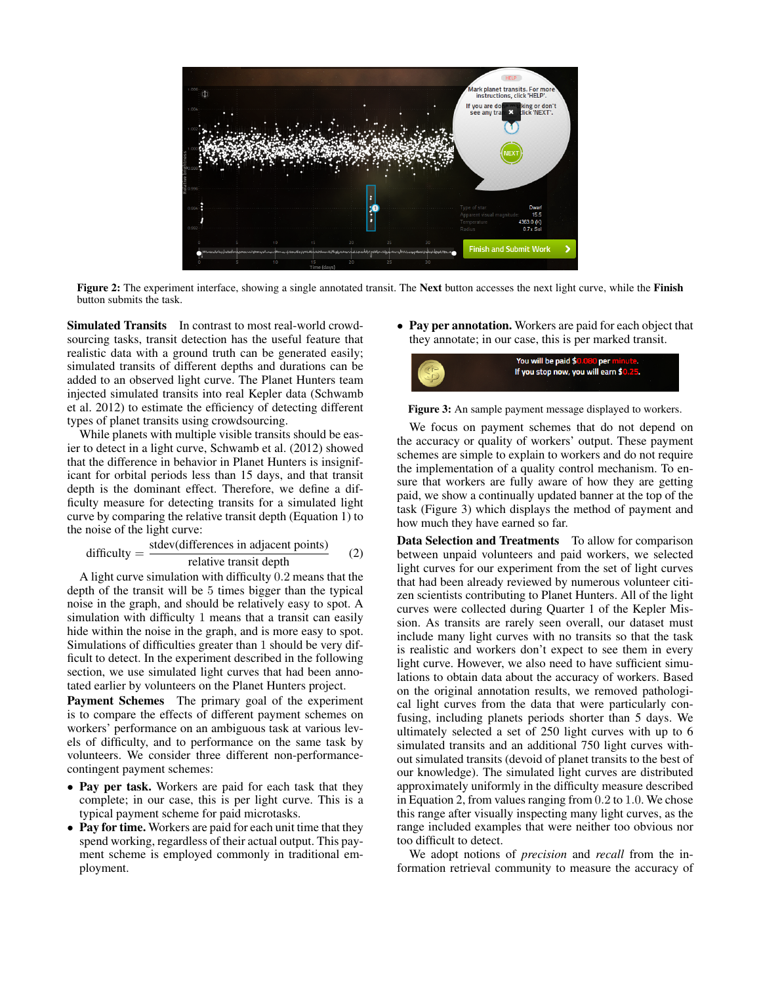

Figure 2: The experiment interface, showing a single annotated transit. The Next button accesses the next light curve, while the Finish button submits the task.

Simulated Transits In contrast to most real-world crowdsourcing tasks, transit detection has the useful feature that realistic data with a ground truth can be generated easily; simulated transits of different depths and durations can be added to an observed light curve. The Planet Hunters team injected simulated transits into real Kepler data (Schwamb et al. 2012) to estimate the efficiency of detecting different types of planet transits using crowdsourcing.

While planets with multiple visible transits should be easier to detect in a light curve, Schwamb et al. (2012) showed that the difference in behavior in Planet Hunters is insignificant for orbital periods less than 15 days, and that transit depth is the dominant effect. Therefore, we define a difficulty measure for detecting transits for a simulated light curve by comparing the relative transit depth (Equation 1) to the noise of the light curve:

$$
difficulty = \frac{stdev(differences in adjacent points)}{relative transit depth}
$$
 (2)

A light curve simulation with difficulty 0.2 means that the depth of the transit will be 5 times bigger than the typical noise in the graph, and should be relatively easy to spot. A simulation with difficulty 1 means that a transit can easily hide within the noise in the graph, and is more easy to spot. Simulations of difficulties greater than 1 should be very difficult to detect. In the experiment described in the following section, we use simulated light curves that had been annotated earlier by volunteers on the Planet Hunters project.

Payment Schemes The primary goal of the experiment is to compare the effects of different payment schemes on workers' performance on an ambiguous task at various levels of difficulty, and to performance on the same task by volunteers. We consider three different non-performancecontingent payment schemes:

- Pay per task. Workers are paid for each task that they complete; in our case, this is per light curve. This is a typical payment scheme for paid microtasks.
- Pay for time. Workers are paid for each unit time that they spend working, regardless of their actual output. This payment scheme is employed commonly in traditional employment.

• Pay per annotation. Workers are paid for each object that they annotate; in our case, this is per marked transit.



Figure 3: An sample payment message displayed to workers.

We focus on payment schemes that do not depend on the accuracy or quality of workers' output. These payment schemes are simple to explain to workers and do not require the implementation of a quality control mechanism. To ensure that workers are fully aware of how they are getting paid, we show a continually updated banner at the top of the task (Figure 3) which displays the method of payment and how much they have earned so far.

Data Selection and Treatments To allow for comparison between unpaid volunteers and paid workers, we selected light curves for our experiment from the set of light curves that had been already reviewed by numerous volunteer citizen scientists contributing to Planet Hunters. All of the light curves were collected during Quarter 1 of the Kepler Mission. As transits are rarely seen overall, our dataset must include many light curves with no transits so that the task is realistic and workers don't expect to see them in every light curve. However, we also need to have sufficient simulations to obtain data about the accuracy of workers. Based on the original annotation results, we removed pathological light curves from the data that were particularly confusing, including planets periods shorter than 5 days. We ultimately selected a set of 250 light curves with up to 6 simulated transits and an additional 750 light curves without simulated transits (devoid of planet transits to the best of our knowledge). The simulated light curves are distributed approximately uniformly in the difficulty measure described in Equation 2, from values ranging from 0.2 to 1.0. We chose this range after visually inspecting many light curves, as the range included examples that were neither too obvious nor too difficult to detect.

We adopt notions of *precision* and *recall* from the information retrieval community to measure the accuracy of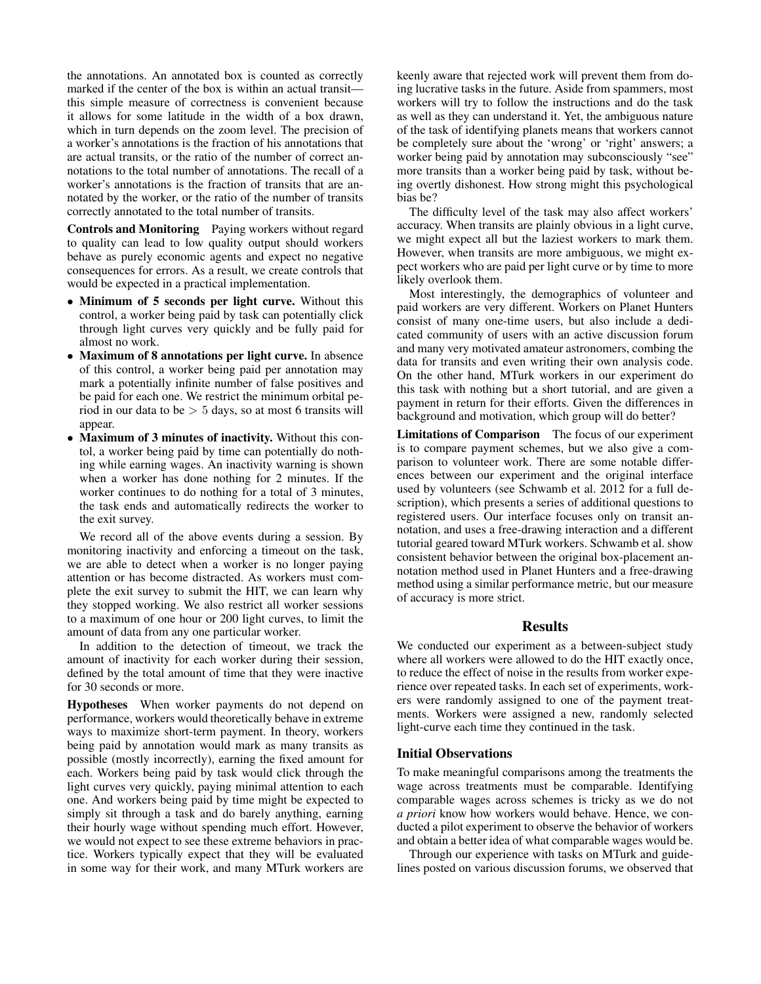the annotations. An annotated box is counted as correctly marked if the center of the box is within an actual transit this simple measure of correctness is convenient because it allows for some latitude in the width of a box drawn, which in turn depends on the zoom level. The precision of a worker's annotations is the fraction of his annotations that are actual transits, or the ratio of the number of correct annotations to the total number of annotations. The recall of a worker's annotations is the fraction of transits that are annotated by the worker, or the ratio of the number of transits correctly annotated to the total number of transits.

Controls and Monitoring Paying workers without regard to quality can lead to low quality output should workers behave as purely economic agents and expect no negative consequences for errors. As a result, we create controls that would be expected in a practical implementation.

- Minimum of 5 seconds per light curve. Without this control, a worker being paid by task can potentially click through light curves very quickly and be fully paid for almost no work.
- Maximum of 8 annotations per light curve. In absence of this control, a worker being paid per annotation may mark a potentially infinite number of false positives and be paid for each one. We restrict the minimum orbital period in our data to be > 5 days, so at most 6 transits will appear.
- Maximum of 3 minutes of inactivity. Without this contol, a worker being paid by time can potentially do nothing while earning wages. An inactivity warning is shown when a worker has done nothing for 2 minutes. If the worker continues to do nothing for a total of 3 minutes, the task ends and automatically redirects the worker to the exit survey.

We record all of the above events during a session. By monitoring inactivity and enforcing a timeout on the task, we are able to detect when a worker is no longer paying attention or has become distracted. As workers must complete the exit survey to submit the HIT, we can learn why they stopped working. We also restrict all worker sessions to a maximum of one hour or 200 light curves, to limit the amount of data from any one particular worker.

In addition to the detection of timeout, we track the amount of inactivity for each worker during their session, defined by the total amount of time that they were inactive for 30 seconds or more.

Hypotheses When worker payments do not depend on performance, workers would theoretically behave in extreme ways to maximize short-term payment. In theory, workers being paid by annotation would mark as many transits as possible (mostly incorrectly), earning the fixed amount for each. Workers being paid by task would click through the light curves very quickly, paying minimal attention to each one. And workers being paid by time might be expected to simply sit through a task and do barely anything, earning their hourly wage without spending much effort. However, we would not expect to see these extreme behaviors in practice. Workers typically expect that they will be evaluated in some way for their work, and many MTurk workers are keenly aware that rejected work will prevent them from doing lucrative tasks in the future. Aside from spammers, most workers will try to follow the instructions and do the task as well as they can understand it. Yet, the ambiguous nature of the task of identifying planets means that workers cannot be completely sure about the 'wrong' or 'right' answers; a worker being paid by annotation may subconsciously "see" more transits than a worker being paid by task, without being overtly dishonest. How strong might this psychological bias be?

The difficulty level of the task may also affect workers' accuracy. When transits are plainly obvious in a light curve, we might expect all but the laziest workers to mark them. However, when transits are more ambiguous, we might expect workers who are paid per light curve or by time to more likely overlook them.

Most interestingly, the demographics of volunteer and paid workers are very different. Workers on Planet Hunters consist of many one-time users, but also include a dedicated community of users with an active discussion forum and many very motivated amateur astronomers, combing the data for transits and even writing their own analysis code. On the other hand, MTurk workers in our experiment do this task with nothing but a short tutorial, and are given a payment in return for their efforts. Given the differences in background and motivation, which group will do better?

Limitations of Comparison The focus of our experiment is to compare payment schemes, but we also give a comparison to volunteer work. There are some notable differences between our experiment and the original interface used by volunteers (see Schwamb et al. 2012 for a full description), which presents a series of additional questions to registered users. Our interface focuses only on transit annotation, and uses a free-drawing interaction and a different tutorial geared toward MTurk workers. Schwamb et al. show consistent behavior between the original box-placement annotation method used in Planet Hunters and a free-drawing method using a similar performance metric, but our measure of accuracy is more strict.

#### Results

We conducted our experiment as a between-subject study where all workers were allowed to do the HIT exactly once, to reduce the effect of noise in the results from worker experience over repeated tasks. In each set of experiments, workers were randomly assigned to one of the payment treatments. Workers were assigned a new, randomly selected light-curve each time they continued in the task.

#### Initial Observations

To make meaningful comparisons among the treatments the wage across treatments must be comparable. Identifying comparable wages across schemes is tricky as we do not *a priori* know how workers would behave. Hence, we conducted a pilot experiment to observe the behavior of workers and obtain a better idea of what comparable wages would be.

Through our experience with tasks on MTurk and guidelines posted on various discussion forums, we observed that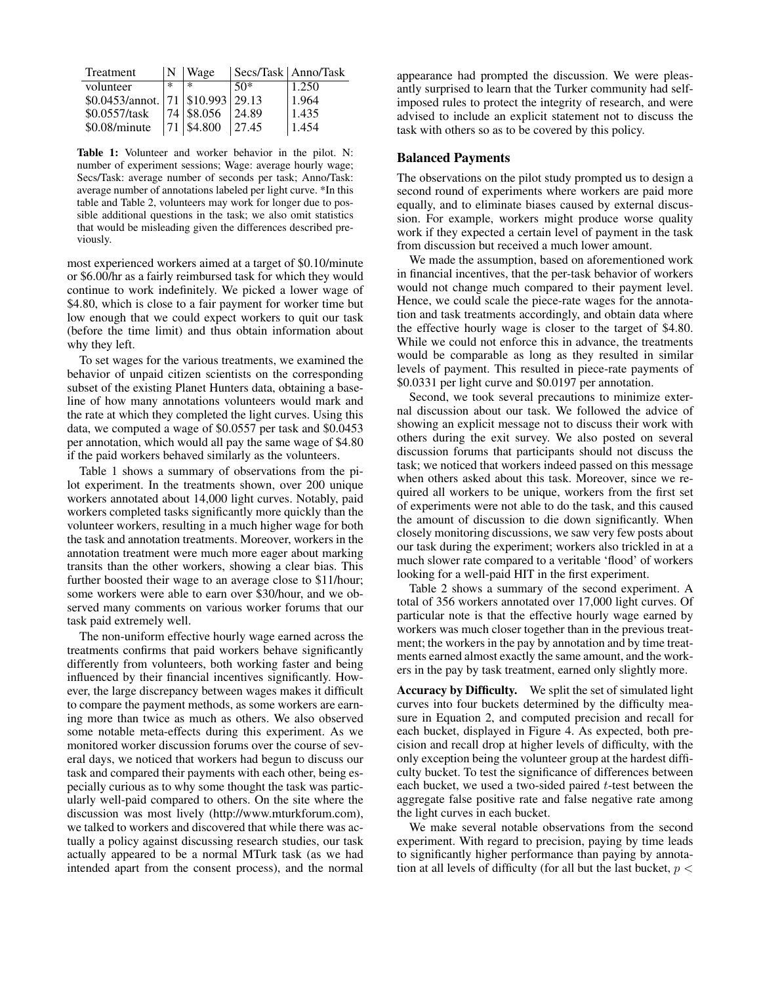| Treatment                               | N. | Wage                   |       | Secs/Task   Anno/Task |
|-----------------------------------------|----|------------------------|-------|-----------------------|
| volunteer                               | *  | $\ast$                 | $50*$ | 1.250                 |
| \$0.0453/annot.   71   \$10.993   29.13 |    |                        |       | 1.964                 |
| \$0.0557/task                           |    | $174$ \$8.056          | 24.89 | 1.435                 |
| \$0.08/minute                           |    | $71 \, \text{s}$ 4.800 | 27.45 | 1.454                 |

Table 1: Volunteer and worker behavior in the pilot. N: number of experiment sessions; Wage: average hourly wage; Secs/Task: average number of seconds per task; Anno/Task: average number of annotations labeled per light curve. \*In this table and Table 2, volunteers may work for longer due to possible additional questions in the task; we also omit statistics that would be misleading given the differences described previously.

most experienced workers aimed at a target of \$0.10/minute or \$6.00/hr as a fairly reimbursed task for which they would continue to work indefinitely. We picked a lower wage of \$4.80, which is close to a fair payment for worker time but low enough that we could expect workers to quit our task (before the time limit) and thus obtain information about why they left.

To set wages for the various treatments, we examined the behavior of unpaid citizen scientists on the corresponding subset of the existing Planet Hunters data, obtaining a baseline of how many annotations volunteers would mark and the rate at which they completed the light curves. Using this data, we computed a wage of \$0.0557 per task and \$0.0453 per annotation, which would all pay the same wage of \$4.80 if the paid workers behaved similarly as the volunteers.

Table 1 shows a summary of observations from the pilot experiment. In the treatments shown, over 200 unique workers annotated about 14,000 light curves. Notably, paid workers completed tasks significantly more quickly than the volunteer workers, resulting in a much higher wage for both the task and annotation treatments. Moreover, workers in the annotation treatment were much more eager about marking transits than the other workers, showing a clear bias. This further boosted their wage to an average close to \$11/hour; some workers were able to earn over \$30/hour, and we observed many comments on various worker forums that our task paid extremely well.

The non-uniform effective hourly wage earned across the treatments confirms that paid workers behave significantly differently from volunteers, both working faster and being influenced by their financial incentives significantly. However, the large discrepancy between wages makes it difficult to compare the payment methods, as some workers are earning more than twice as much as others. We also observed some notable meta-effects during this experiment. As we monitored worker discussion forums over the course of several days, we noticed that workers had begun to discuss our task and compared their payments with each other, being especially curious as to why some thought the task was particularly well-paid compared to others. On the site where the discussion was most lively (http://www.mturkforum.com), we talked to workers and discovered that while there was actually a policy against discussing research studies, our task actually appeared to be a normal MTurk task (as we had intended apart from the consent process), and the normal

appearance had prompted the discussion. We were pleasantly surprised to learn that the Turker community had selfimposed rules to protect the integrity of research, and were advised to include an explicit statement not to discuss the task with others so as to be covered by this policy.

## Balanced Payments

The observations on the pilot study prompted us to design a second round of experiments where workers are paid more equally, and to eliminate biases caused by external discussion. For example, workers might produce worse quality work if they expected a certain level of payment in the task from discussion but received a much lower amount.

We made the assumption, based on aforementioned work in financial incentives, that the per-task behavior of workers would not change much compared to their payment level. Hence, we could scale the piece-rate wages for the annotation and task treatments accordingly, and obtain data where the effective hourly wage is closer to the target of \$4.80. While we could not enforce this in advance, the treatments would be comparable as long as they resulted in similar levels of payment. This resulted in piece-rate payments of \$0.0331 per light curve and \$0.0197 per annotation.

Second, we took several precautions to minimize external discussion about our task. We followed the advice of showing an explicit message not to discuss their work with others during the exit survey. We also posted on several discussion forums that participants should not discuss the task; we noticed that workers indeed passed on this message when others asked about this task. Moreover, since we required all workers to be unique, workers from the first set of experiments were not able to do the task, and this caused the amount of discussion to die down significantly. When closely monitoring discussions, we saw very few posts about our task during the experiment; workers also trickled in at a much slower rate compared to a veritable 'flood' of workers looking for a well-paid HIT in the first experiment.

Table 2 shows a summary of the second experiment. A total of 356 workers annotated over 17,000 light curves. Of particular note is that the effective hourly wage earned by workers was much closer together than in the previous treatment; the workers in the pay by annotation and by time treatments earned almost exactly the same amount, and the workers in the pay by task treatment, earned only slightly more.

Accuracy by Difficulty. We split the set of simulated light curves into four buckets determined by the difficulty measure in Equation 2, and computed precision and recall for each bucket, displayed in Figure 4. As expected, both precision and recall drop at higher levels of difficulty, with the only exception being the volunteer group at the hardest difficulty bucket. To test the significance of differences between each bucket, we used a two-sided paired  $t$ -test between the aggregate false positive rate and false negative rate among the light curves in each bucket.

We make several notable observations from the second experiment. With regard to precision, paying by time leads to significantly higher performance than paying by annotation at all levels of difficulty (for all but the last bucket,  $p <$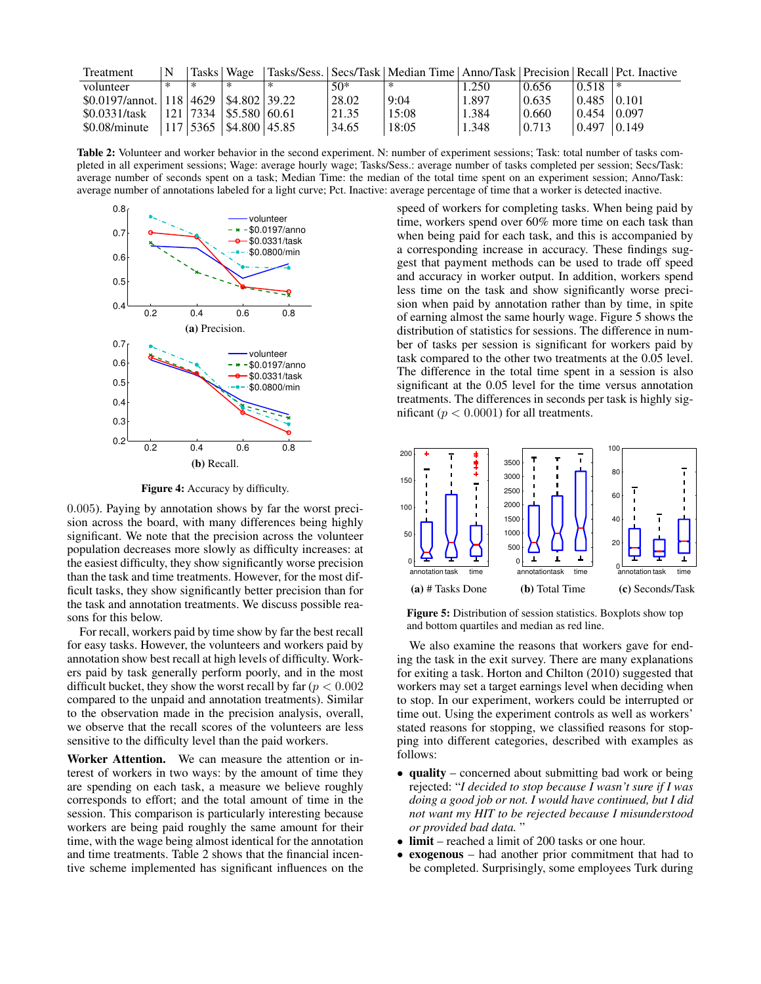| Treatment                                        | N      | Tasks   Wage                  |   |       | Tasks/Sess.   Secs/Task   Median Time   Anno/Task   Precision   Recall   Pct. Inactive |         |       |                                 |       |
|--------------------------------------------------|--------|-------------------------------|---|-------|----------------------------------------------------------------------------------------|---------|-------|---------------------------------|-------|
| volunteer                                        | $\ast$ | ∗                             | ∗ | 50*   | ∗                                                                                      | . . 250 | 0.656 | 0.518                           | . *   |
| $$0.0197/$ annot.   118   4629   \$4.802   39.22 |        |                               |   | 28.02 | 9:04                                                                                   | 1.897   | 0.635 | $\vert 0.485 \vert 0.101 \vert$ |       |
| \$0.0331/task                                    |        | $ 121 7334 $ \\$5.580 \ 60.61 |   | 21.35 | 15:08                                                                                  | 1.384   | 0.660 | 0.454                           | 0.097 |
| \$0.08/minute                                    |        | $ 117 5365 $ \$4.800 45.85    |   | 34.65 | 18:05                                                                                  | 1.348   | 0.713 | 10.497                          | 0.149 |

Table 2: Volunteer and worker behavior in the second experiment. N: number of experiment sessions; Task: total number of tasks completed in all experiment sessions; Wage: average hourly wage; Tasks/Sess.: average number of tasks completed per session; Secs/Task: average number of seconds spent on a task; Median Time: the median of the total time spent on an experiment session; Anno/Task: average number of annotations labeled for a light curve; Pct. Inactive: average percentage of time that a worker is detected inactive.



Figure 4: Accuracy by difficulty.

0.005). Paying by annotation shows by far the worst precision across the board, with many differences being highly significant. We note that the precision across the volunteer population decreases more slowly as difficulty increases: at the easiest difficulty, they show significantly worse precision than the task and time treatments. However, for the most difficult tasks, they show significantly better precision than for the task and annotation treatments. We discuss possible reasons for this below.

For recall, workers paid by time show by far the best recall for easy tasks. However, the volunteers and workers paid by annotation show best recall at high levels of difficulty. Workers paid by task generally perform poorly, and in the most difficult bucket, they show the worst recall by far ( $p < 0.002$ ) compared to the unpaid and annotation treatments). Similar to the observation made in the precision analysis, overall, we observe that the recall scores of the volunteers are less sensitive to the difficulty level than the paid workers.

Worker Attention. We can measure the attention or interest of workers in two ways: by the amount of time they are spending on each task, a measure we believe roughly corresponds to effort; and the total amount of time in the session. This comparison is particularly interesting because workers are being paid roughly the same amount for their time, with the wage being almost identical for the annotation and time treatments. Table 2 shows that the financial incentive scheme implemented has significant influences on the

speed of workers for completing tasks. When being paid by time, workers spend over 60% more time on each task than when being paid for each task, and this is accompanied by a corresponding increase in accuracy. These findings suggest that payment methods can be used to trade off speed and accuracy in worker output. In addition, workers spend less time on the task and show significantly worse precision when paid by annotation rather than by time, in spite of earning almost the same hourly wage. Figure 5 shows the distribution of statistics for sessions. The difference in number of tasks per session is significant for workers paid by task compared to the other two treatments at the 0.05 level. The difference in the total time spent in a session is also significant at the 0.05 level for the time versus annotation treatments. The differences in seconds per task is highly significant ( $p < 0.0001$ ) for all treatments.



Figure 5: Distribution of session statistics. Boxplots show top and bottom quartiles and median as red line.

We also examine the reasons that workers gave for ending the task in the exit survey. There are many explanations for exiting a task. Horton and Chilton (2010) suggested that workers may set a target earnings level when deciding when to stop. In our experiment, workers could be interrupted or time out. Using the experiment controls as well as workers' stated reasons for stopping, we classified reasons for stopping into different categories, described with examples as follows:

- quality concerned about submitting bad work or being rejected: "*I decided to stop because I wasn't sure if I was doing a good job or not. I would have continued, but I did not want my HIT to be rejected because I misunderstood or provided bad data.* "
- limit reached a limit of 200 tasks or one hour.
- exogenous had another prior commitment that had to be completed. Surprisingly, some employees Turk during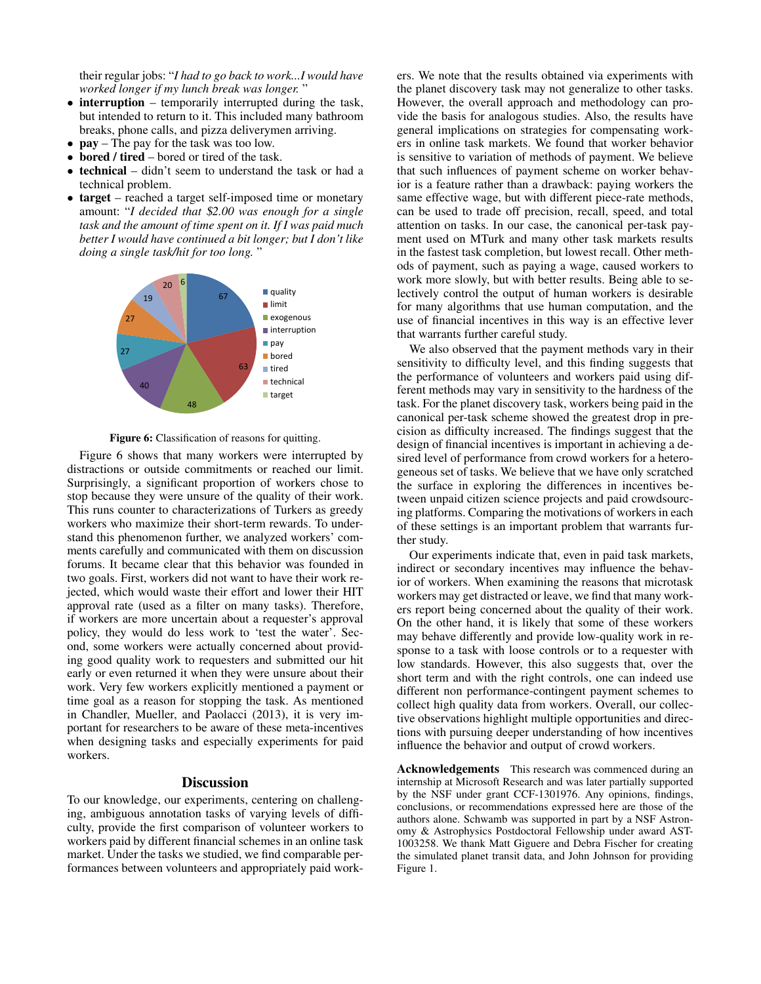their regular jobs: "*I had to go back to work...I would have worked longer if my lunch break was longer.* "

- interruption temporarily interrupted during the task, but intended to return to it. This included many bathroom breaks, phone calls, and pizza deliverymen arriving.
- **pay** The pay for the task was too low.
- bored / tired bored or tired of the task.
- technical didn't seem to understand the task or had a technical problem.
- target reached a target self-imposed time or monetary amount: "*I decided that* \$*2.00 was enough for a single task and the amount of time spent on it. If I was paid much better I would have continued a bit longer; but I don't like doing a single task/hit for too long.* "



Figure 6: Classification of reasons for quitting.

Figure 6 shows that many workers were interrupted by distractions or outside commitments or reached our limit. Surprisingly, a significant proportion of workers chose to stop because they were unsure of the quality of their work. This runs counter to characterizations of Turkers as greedy workers who maximize their short-term rewards. To understand this phenomenon further, we analyzed workers' comments carefully and communicated with them on discussion forums. It became clear that this behavior was founded in two goals. First, workers did not want to have their work rejected, which would waste their effort and lower their HIT approval rate (used as a filter on many tasks). Therefore, if workers are more uncertain about a requester's approval policy, they would do less work to 'test the water'. Second, some workers were actually concerned about providing good quality work to requesters and submitted our hit early or even returned it when they were unsure about their work. Very few workers explicitly mentioned a payment or time goal as a reason for stopping the task. As mentioned in Chandler, Mueller, and Paolacci (2013), it is very important for researchers to be aware of these meta-incentives when designing tasks and especially experiments for paid workers.

# **Discussion**

To our knowledge, our experiments, centering on challenging, ambiguous annotation tasks of varying levels of difficulty, provide the first comparison of volunteer workers to workers paid by different financial schemes in an online task market. Under the tasks we studied, we find comparable performances between volunteers and appropriately paid workers. We note that the results obtained via experiments with the planet discovery task may not generalize to other tasks. However, the overall approach and methodology can provide the basis for analogous studies. Also, the results have general implications on strategies for compensating workers in online task markets. We found that worker behavior is sensitive to variation of methods of payment. We believe that such influences of payment scheme on worker behavior is a feature rather than a drawback: paying workers the same effective wage, but with different piece-rate methods, can be used to trade off precision, recall, speed, and total attention on tasks. In our case, the canonical per-task payment used on MTurk and many other task markets results in the fastest task completion, but lowest recall. Other methods of payment, such as paying a wage, caused workers to work more slowly, but with better results. Being able to selectively control the output of human workers is desirable for many algorithms that use human computation, and the use of financial incentives in this way is an effective lever that warrants further careful study.

We also observed that the payment methods vary in their sensitivity to difficulty level, and this finding suggests that the performance of volunteers and workers paid using different methods may vary in sensitivity to the hardness of the task. For the planet discovery task, workers being paid in the canonical per-task scheme showed the greatest drop in precision as difficulty increased. The findings suggest that the design of financial incentives is important in achieving a desired level of performance from crowd workers for a heterogeneous set of tasks. We believe that we have only scratched the surface in exploring the differences in incentives between unpaid citizen science projects and paid crowdsourcing platforms. Comparing the motivations of workers in each of these settings is an important problem that warrants further study.

Our experiments indicate that, even in paid task markets, indirect or secondary incentives may influence the behavior of workers. When examining the reasons that microtask workers may get distracted or leave, we find that many workers report being concerned about the quality of their work. On the other hand, it is likely that some of these workers may behave differently and provide low-quality work in response to a task with loose controls or to a requester with low standards. However, this also suggests that, over the short term and with the right controls, one can indeed use different non performance-contingent payment schemes to collect high quality data from workers. Overall, our collective observations highlight multiple opportunities and directions with pursuing deeper understanding of how incentives influence the behavior and output of crowd workers.

Acknowledgements This research was commenced during an internship at Microsoft Research and was later partially supported by the NSF under grant CCF-1301976. Any opinions, findings, conclusions, or recommendations expressed here are those of the authors alone. Schwamb was supported in part by a NSF Astronomy & Astrophysics Postdoctoral Fellowship under award AST-1003258. We thank Matt Giguere and Debra Fischer for creating the simulated planet transit data, and John Johnson for providing Figure 1.